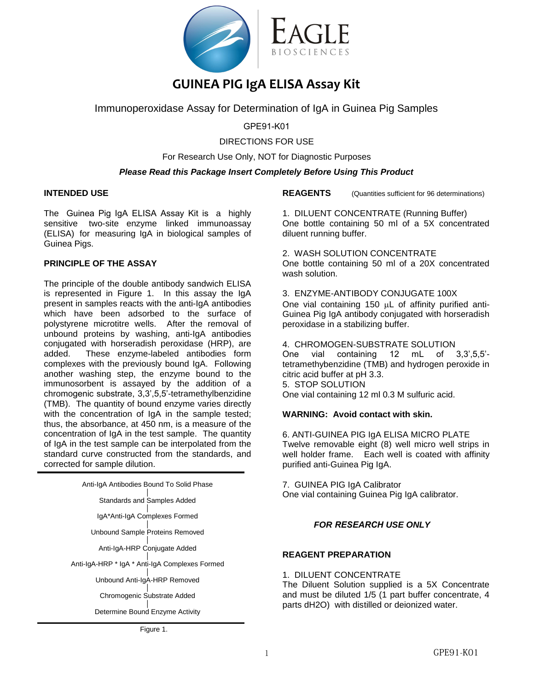

# **GUINEA PIG IgA ELISA Assay Kit**

Immunoperoxidase Assay for Determination of IgA in Guinea Pig Samples

GPE91-K01

# DIRECTIONS FOR USE

For Research Use Only, NOT for Diagnostic Purposes

# *Please Read this Package Insert Completely Before Using This Product*

# **INTENDED USE**

The Guinea Pig IgA ELISA Assay Kit is a highly sensitive two-site enzyme linked immunoassay (ELISA) for measuring IgA in biological samples of Guinea Pigs.

# **PRINCIPLE OF THE ASSAY**

The principle of the double antibody sandwich ELISA is represented in Figure 1. In this assay the IgA present in samples reacts with the anti-IgA antibodies which have been adsorbed to the surface of polystyrene microtitre wells. After the removal of unbound proteins by washing, anti-IgA antibodies conjugated with horseradish peroxidase (HRP), are added. These enzyme-labeled antibodies form complexes with the previously bound IgA. Following another washing step, the enzyme bound to the immunosorbent is assayed by the addition of a chromogenic substrate, 3,3',5,5'-tetramethylbenzidine (TMB). The quantity of bound enzyme varies directly with the concentration of IgA in the sample tested: thus, the absorbance, at 450 nm, is a measure of the concentration of IgA in the test sample. The quantity of IgA in the test sample can be interpolated from the standard curve constructed from the standards, and corrected for sample dilution.

| Anti-IgA Antibodies Bound To Solid Phase       |  |  |
|------------------------------------------------|--|--|
| <b>Standards and Samples Added</b>             |  |  |
| IgA*Anti-IgA Complexes Formed                  |  |  |
| Unbound Sample Proteins Removed                |  |  |
| Anti-IgA-HRP Conjugate Added                   |  |  |
| Anti-IgA-HRP * IgA * Anti-IgA Complexes Formed |  |  |
| Unbound Anti-IgA-HRP Removed                   |  |  |
| Chromogenic Substrate Added                    |  |  |
| Determine Bound Enzyme Activity                |  |  |
|                                                |  |  |

Figure 1.

**REAGENTS** (Quantities sufficient for 96 determinations)

1. DILUENT CONCENTRATE (Running Buffer) One bottle containing 50 ml of a 5X concentrated diluent running buffer.

# 2. WASH SOLUTION CONCENTRATE

One bottle containing 50 ml of a 20X concentrated wash solution.

3. ENZYME-ANTIBODY CONJUGATE 100X

One vial containing 150  $\mu$ L of affinity purified anti-Guinea Pig IgA antibody conjugated with horseradish peroxidase in a stabilizing buffer.

4. CHROMOGEN-SUBSTRATE SOLUTION<br>One vial containing 12 mL of

One vial containing 12 mL of 3,3',5,5' tetramethybenzidine (TMB) and hydrogen peroxide in citric acid buffer at pH 3.3. 5. STOP SOLUTION One vial containing 12 ml 0.3 M sulfuric acid.

## **WARNING: Avoid contact with skin.**

6. ANTI-GUINEA PIG IgA ELISA MICRO PLATE Twelve removable eight (8) well micro well strips in well holder frame. Each well is coated with affinity purified anti-Guinea Pig IgA.

7. GUINEA PIG IgA Calibrator One vial containing Guinea Pig IgA calibrator.

# *FOR RESEARCH USE ONLY*

## **REAGENT PREPARATION**

1. DILUENT CONCENTRATE

The Diluent Solution supplied is a 5X Concentrate and must be diluted 1/5 (1 part buffer concentrate, 4 parts dH2O) with distilled or deionized water.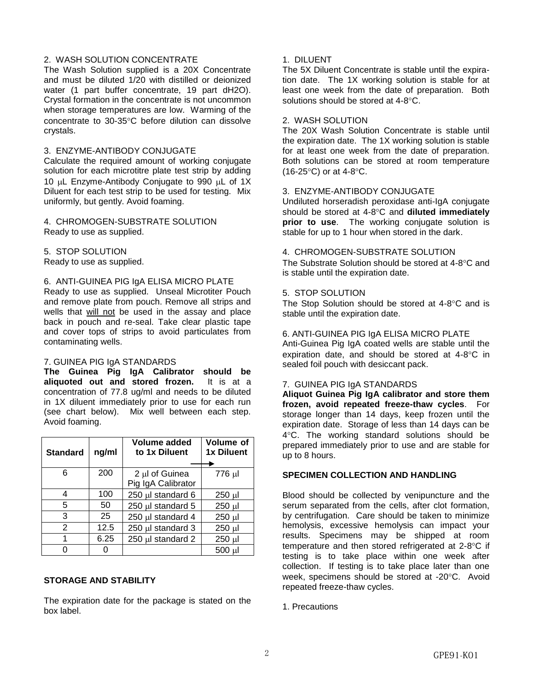# 2. WASH SOLUTION CONCENTRATE

The Wash Solution supplied is a 20X Concentrate and must be diluted 1/20 with distilled or deionized water (1 part buffer concentrate, 19 part dH2O). Crystal formation in the concentrate is not uncommon when storage temperatures are low. Warming of the concentrate to 30-35°C before dilution can dissolve crystals.

## 3. ENZYME-ANTIBODY CONJUGATE

Calculate the required amount of working conjugate solution for each microtitre plate test strip by adding 10 µL Enzyme-Antibody Conjugate to 990 µL of 1X Diluent for each test strip to be used for testing. Mix uniformly, but gently. Avoid foaming.

4. CHROMOGEN-SUBSTRATE SOLUTION Ready to use as supplied.

5. STOP SOLUTION Ready to use as supplied.

#### 6. ANTI-GUINEA PIG IgA ELISA MICRO PLATE

Ready to use as supplied. Unseal Microtiter Pouch and remove plate from pouch. Remove all strips and wells that will not be used in the assay and place back in pouch and re-seal. Take clear plastic tape and cover tops of strips to avoid particulates from contaminating wells.

## 7. GUINEA PIG IgA STANDARDS

**The Guinea Pig IgA Calibrator should be aliquoted out and stored frozen.** It is at a concentration of 77.8 ug/ml and needs to be diluted in 1X diluent immediately prior to use for each run (see chart below). Mix well between each step. Avoid foaming.

| <b>Standard</b> | ng/ml | Volume added<br>to 1x Diluent        | Volume of<br>1x Diluent |
|-----------------|-------|--------------------------------------|-------------------------|
| 6               | 200   | 2 µl of Guinea<br>Pig IgA Calibrator | 776 µl                  |
| 4               | 100   | 250 µl standard 6                    | $250 \mu$               |
| 5               | 50    | 250 µl standard 5                    | $250 \mu$               |
| 3               | 25    | 250 µl standard 4                    | 250 µl                  |
| 2               | 12.5  | 250 µl standard 3                    | $250 \mu$               |
| 1               | 6.25  | 250 µl standard 2                    | 250 µl                  |
|                 |       |                                      | 500 ul                  |

# **STORAGE AND STABILITY**

The expiration date for the package is stated on the box label.

# 1. DILUENT

The 5X Diluent Concentrate is stable until the expiration date. The 1X working solution is stable for at least one week from the date of preparation. Both solutions should be stored at  $4-8$   $\degree$ C.

#### 2. WASH SOLUTION

The 20X Wash Solution Concentrate is stable until the expiration date. The 1X working solution is stable for at least one week from the date of preparation. Both solutions can be stored at room temperature  $(16-25^{\circ}C)$  or at 4-8 $^{\circ}C$ .

#### 3. ENZYME-ANTIBODY CONJUGATE

Undiluted horseradish peroxidase anti-IgA conjugate should be stored at 4-8°C and **diluted immediately prior to use**. The working conjugate solution is stable for up to 1 hour when stored in the dark.

#### 4. CHROMOGEN-SUBSTRATE SOLUTION

The Substrate Solution should be stored at 4-8°C and is stable until the expiration date.

#### 5. STOP SOLUTION

The Stop Solution should be stored at  $4-8^{\circ}$ C and is stable until the expiration date.

#### 6. ANTI-GUINEA PIG IgA ELISA MICRO PLATE

Anti-Guinea Pig IgA coated wells are stable until the expiration date, and should be stored at  $4-8^{\circ}$ C in sealed foil pouch with desiccant pack.

#### 7. GUINEA PIG IgA STANDARDS

**Aliquot Guinea Pig IgA calibrator and store them frozen, avoid repeated freeze-thaw cycles**. For storage longer than 14 days, keep frozen until the expiration date. Storage of less than 14 days can be 4C. The working standard solutions should be prepared immediately prior to use and are stable for up to 8 hours.

# **SPECIMEN COLLECTION AND HANDLING**

Blood should be collected by venipuncture and the serum separated from the cells, after clot formation, by centrifugation. Care should be taken to minimize hemolysis, excessive hemolysis can impact your results. Specimens may be shipped at room temperature and then stored refrigerated at  $2-8$ °C if testing is to take place within one week after collection. If testing is to take place later than one week, specimens should be stored at -20°C. Avoid repeated freeze-thaw cycles.

1. Precautions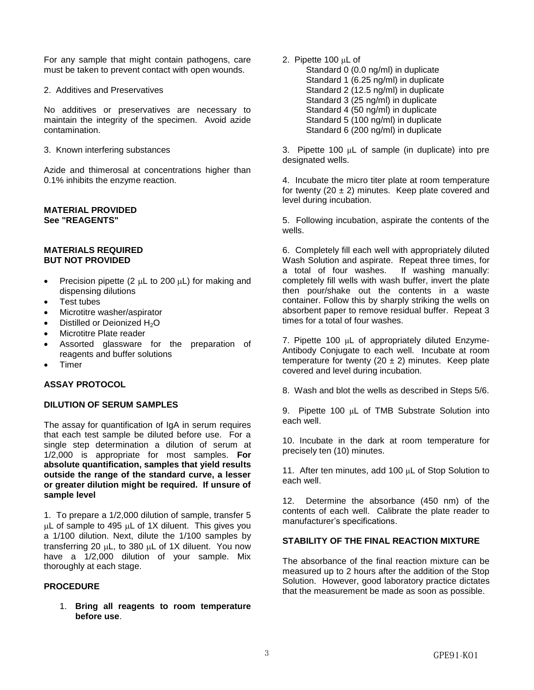For any sample that might contain pathogens, care must be taken to prevent contact with open wounds.

2. Additives and Preservatives

No additives or preservatives are necessary to maintain the integrity of the specimen. Avoid azide contamination.

3. Known interfering substances

Azide and thimerosal at concentrations higher than 0.1% inhibits the enzyme reaction.

# **MATERIAL PROVIDED See "REAGENTS"**

#### **MATERIALS REQUIRED BUT NOT PROVIDED**

- Precision pipette (2  $\mu$ L to 200  $\mu$ L) for making and dispensing dilutions
- Test tubes
- Microtitre washer/aspirator
- Distilled or Deionized H<sub>2</sub>O
- Microtitre Plate reader
- Assorted glassware for the preparation of reagents and buffer solutions
- Timer

# **ASSAY PROTOCOL**

## **DILUTION OF SERUM SAMPLES**

The assay for quantification of IgA in serum requires that each test sample be diluted before use. For a single step determination a dilution of serum at 1/2,000 is appropriate for most samples. **For absolute quantification, samples that yield results outside the range of the standard curve, a lesser or greater dilution might be required. If unsure of sample level** 

1. To prepare a 1/2,000 dilution of sample, transfer 5  $\mu$ L of sample to 495  $\mu$ L of 1X diluent. This gives you a 1/100 dilution. Next, dilute the 1/100 samples by transferring 20  $\mu$ L, to 380  $\mu$ L of 1X diluent. You now have a 1/2,000 dilution of your sample. Mix thoroughly at each stage.

## **PROCEDURE**

1. **Bring all reagents to room temperature before use**.

2. Pipette 100 μL of

Standard 0 (0.0 ng/ml) in duplicate Standard 1 (6.25 ng/ml) in duplicate Standard 2 (12.5 ng/ml) in duplicate Standard 3 (25 ng/ml) in duplicate Standard 4 (50 ng/ml) in duplicate Standard 5 (100 ng/ml) in duplicate Standard 6 (200 ng/ml) in duplicate

3. Pipette 100 μL of sample (in duplicate) into pre designated wells.

4. Incubate the micro titer plate at room temperature for twenty (20  $\pm$  2) minutes. Keep plate covered and level during incubation.

5. Following incubation, aspirate the contents of the wells.

6. Completely fill each well with appropriately diluted Wash Solution and aspirate. Repeat three times, for a total of four washes. If washing manually: completely fill wells with wash buffer, invert the plate then pour/shake out the contents in a waste container. Follow this by sharply striking the wells on absorbent paper to remove residual buffer. Repeat 3 times for a total of four washes.

7. Pipette 100 μL of appropriately diluted Enzyme-Antibody Conjugate to each well. Incubate at room temperature for twenty (20  $\pm$  2) minutes. Keep plate covered and level during incubation.

8. Wash and blot the wells as described in Steps 5/6.

9. Pipette 100 μL of TMB Substrate Solution into each well.

10. Incubate in the dark at room temperature for precisely ten (10) minutes.

11. After ten minutes, add 100 μL of Stop Solution to each well.

12. Determine the absorbance (450 nm) of the contents of each well. Calibrate the plate reader to manufacturer's specifications.

## **STABILITY OF THE FINAL REACTION MIXTURE**

The absorbance of the final reaction mixture can be measured up to 2 hours after the addition of the Stop Solution. However, good laboratory practice dictates that the measurement be made as soon as possible.